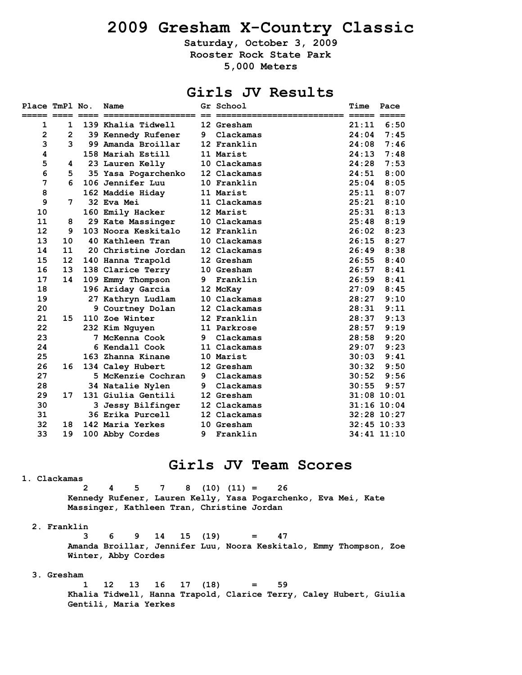# **2009 Gresham X-Country Classic**

**Saturday, October 3, 2009 Rooster Rock State Park 5,000 Meters** 

# **Girls JV Results**

| Place TmPl No. |                 | Name                |     | Gr School    | Time  | Pace            |
|----------------|-----------------|---------------------|-----|--------------|-------|-----------------|
|                |                 |                     | $=$ |              |       |                 |
| 1              | 1               | 139 Khalia Tidwell  |     | 12 Gresham   | 21:11 | 6:50            |
| $\overline{2}$ | $\overline{2}$  | 39 Kennedy Rufener  | 9   | Clackamas    | 24:04 | 7:45            |
| 3              | 3               | 99 Amanda Broillar  |     | 12 Franklin  | 24:08 | 7:46            |
| 4              |                 | 158 Mariah Estill   |     | 11 Marist    | 24:13 | 7:48            |
| 5              | 4               | 23 Lauren Kelly     |     | 10 Clackamas | 24:28 | 7:53            |
| 6              | 5               | 35 Yasa Pogarchenko |     | 12 Clackamas | 24:51 | 8:00            |
| 7              | 6               | 106 Jennifer Luu    |     | 10 Franklin  | 25:04 | 8:05            |
| 8              |                 | 162 Maddie Hiday    |     | 11 Marist    | 25:11 | 8:07            |
| 9              | 7               | 32 Eva Mei          |     | 11 Clackamas | 25:21 | 8:10            |
| 10             |                 | 160 Emily Hacker    |     | 12 Marist    | 25:31 | 8:13            |
| 11             | 8               | 29 Kate Massinger   |     | 10 Clackamas | 25:48 | 8:19            |
| 12             | 9               | 103 Noora Keskitalo |     | 12 Franklin  | 26:02 | 8:23            |
| 13             | 10              | 40 Kathleen Tran    |     | 10 Clackamas | 26:15 | 8:27            |
| 14             | 11              | 20 Christine Jordan |     | 12 Clackamas | 26:49 | 8:38            |
| 15             | 12 <sub>2</sub> | 140 Hanna Trapold   |     | 12 Gresham   | 26:55 | 8:40            |
| 16             | 13              | 138 Clarice Terry   |     | 10 Gresham   | 26:57 | 8:41            |
| 17             | 14              | 109 Emmy Thompson   | 9   | Franklin     | 26:59 | 8:41            |
| 18             |                 | 196 Ariday Garcia   |     | 12 McKay     | 27:09 | 8:45            |
| 19             |                 | 27 Kathryn Ludlam   |     | 10 Clackamas | 28:27 | 9:10            |
| 20             |                 | 9 Courtney Dolan    |     | 12 Clackamas | 28:31 | 9:11            |
| 21             | 15              | 110 Zoe Winter      |     | 12 Franklin  | 28:37 | 9:13            |
| 22             |                 | 232 Kim Nguyen      |     | 11 Parkrose  | 28:57 | 9:19            |
| 23             |                 | 7 McKenna Cook      | 9   | Clackamas    | 28:58 | 9:20            |
| 24             |                 | 6 Kendall Cook      |     | 11 Clackamas | 29:07 | 9:23            |
| 25             |                 | 163 Zhanna Kinane   |     | 10 Marist    | 30:03 | 9:41            |
| 26             | 16              | 134 Caley Hubert    |     | 12 Gresham   | 30:32 | 9:50            |
| 27             |                 | 5 McKenzie Cochran  | 9   | Clackamas    | 30:52 | 9:56            |
| 28             |                 | 34 Natalie Nylen    | 9   | Clackamas    | 30:55 | 9:57            |
| 29             | 17              | 131 Giulia Gentili  |     | 12 Gresham   |       | $31:08$ 10:01   |
| 30             |                 | 3 Jessy Bilfinger   |     | 12 Clackamas |       | $31:16$ $10:04$ |
| 31             |                 | 36 Erika Purcell    |     | 12 Clackamas |       | 32:28 10:27     |
| 32             | 18              | 142 Maria Yerkes    |     | 10 Gresham   |       | $32:45$ $10:33$ |
| 33             | 19              | 100 Abby Cordes     | 9   | Franklin     |       | 34:41 11:10     |

### **Girls JV Team Scores**

### **1. Clackamas**

 **2 4 5 7 8 (10) (11) = 26 Kennedy Rufener, Lauren Kelly, Yasa Pogarchenko, Eva Mei, Kate Massinger, Kathleen Tran, Christine Jordan** 

#### **2. Franklin**

 **3 6 9 14 15 (19) = 47 Amanda Broillar, Jennifer Luu, Noora Keskitalo, Emmy Thompson, Zoe Winter, Abby Cordes** 

### **3. Gresham**

 **1 12 13 16 17 (18) = 59 Khalia Tidwell, Hanna Trapold, Clarice Terry, Caley Hubert, Giulia Gentili, Maria Yerkes**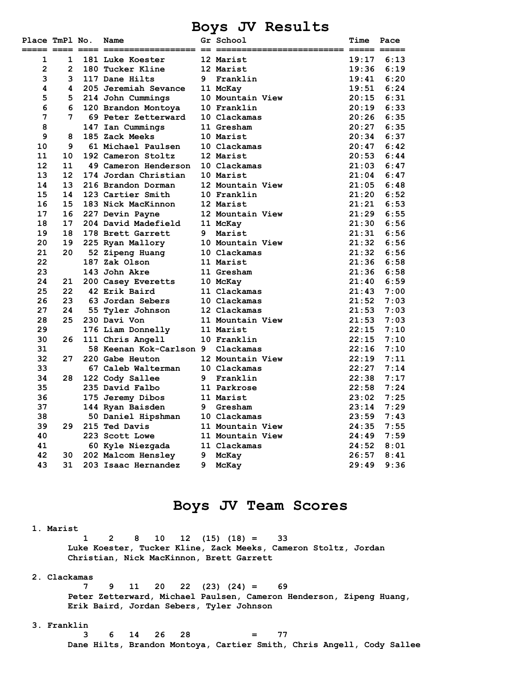### **Boys JV Results**

| Place TmPl No. |                   | Name                              |   | Gr School<br>;============= ===== ===== | <b>Time</b> | Pace |
|----------------|-------------------|-----------------------------------|---|-----------------------------------------|-------------|------|
| 1              | 1                 | 181 Luke Koester                  |   | 12 Marist                               | 19:17       | 6:13 |
| $\overline{2}$ | $\overline{2}$    | 180 Tucker Kline                  |   | 12 Marist                               | 19:36       | 6:19 |
| 3              | 3                 | 117 Dane Hilts                    |   | 9 Franklin                              | 19:41       | 6:20 |
| 4              | 4                 | 205 Jeremiah Sevance              |   | 11 McKay                                | 19:51       | 6:24 |
| 5              | 5                 | 214 John Cummings                 |   | 10 Mountain View                        | 20:15       | 6:31 |
| 6              | 6                 | 120 Brandon Montoya               |   | 10 Franklin                             | 20:19       | 6:33 |
| 7              | 7                 | 69 Peter Zetterward               |   | 10 Clackamas                            | 20:26       | 6:35 |
| 8              |                   | 147 Ian Cummings                  |   | 11 Gresham                              | 20:27       | 6:35 |
| 9              | 8                 | 185 Zack Meeks                    |   | 10 Marist                               | 20:34       | 6:37 |
| 10             | 9                 | 61 Michael Paulsen                |   | 10 Clackamas                            | 20:47       | 6:42 |
| 11             | 10                | 192 Cameron Stoltz                |   | 12 Marist                               | 20:53       | 6:44 |
| 12             | 11                | 49 Cameron Henderson              |   | 10 Clackamas                            | 21:03       | 6:47 |
| 13             | $12 \overline{ }$ | 174 Jordan Christian              |   | 10 Marist                               | 21:04       | 6:47 |
| 14             | 13                | 216 Brandon Dorman                |   | 12 Mountain View                        | 21:05       | 6:48 |
| 15             | 14                | 123 Cartier Smith                 |   | 10 Franklin                             | 21:20       | 6:52 |
| 16             | 15                | 183 Nick MacKinnon                |   | 12 Marist                               | 21:21       | 6:53 |
| 17             | 16                | 227 Devin Payne                   |   | 12 Mountain View                        | 21:29       | 6:55 |
| 18             | 17                | 204 David Madefield 11 McKay      |   |                                         | 21:30       | 6:56 |
| 19             | 18                | 178 Brett Garrett                 |   | 9 Marist                                | 21:31       | 6:56 |
| 20             | 19                | 225 Ryan Mallory                  |   | 10 Mountain View                        | 21:32       | 6:56 |
| 21             | 20                | 52 Zipeng Huang                   |   | 10 Clackamas                            | 21:32       | 6:56 |
| 22             |                   | 187 Zak Olson                     |   | 11 Marist                               | 21:36       | 6:58 |
| 23             |                   | 143 John Akre                     |   | 11 Gresham                              | 21:36       | 6:58 |
| 24             | 21                | 200 Casey Everetts                |   | 10 McKay                                | 21:40       | 6:59 |
| 25             | 22                | 42 Erik Baird                     |   | 11 Clackamas                            | 21:43       | 7:00 |
| 26             | 23                | 63 Jordan Sebers                  |   | 10 Clackamas                            | 21:52       | 7:03 |
| 27             | 24                | 55 Tyler Johnson                  |   | 12 Clackamas                            | 21:53       | 7:03 |
| 28             | 25                | 230 Davi Von                      |   | 11 Mountain View                        | 21:53       | 7:03 |
| 29             |                   | 176 Liam Donnelly                 |   | 11 Marist                               | 22:15       | 7:10 |
| 30             | 26                | 111 Chris Angell                  |   | 10 Franklin                             | 22:15       | 7:10 |
| 31             |                   | 58 Keenan Kok-Carlson 9 Clackamas |   |                                         | 22:16       | 7:10 |
| 32             | 27                | 220 Gabe Heuton                   |   | 12 Mountain View                        | 22:19       | 7:11 |
| 33             |                   | 67 Caleb Walterman                |   | 10 Clackamas                            | 22:27       | 7:14 |
| 34             | 28                | 122 Cody Sallee                   |   | 9 Franklin                              | 22:38       | 7:17 |
| 35             |                   | 235 David Falbo                   |   | 11 Parkrose                             | 22:58       | 7:24 |
| 36             |                   | 175 Jeremy Dibos                  |   | 11 Marist                               | 23:02       | 7:25 |
| 37             |                   | 144 Ryan Baisden                  |   | 9 Gresham                               | 23:14       | 7:29 |
| 38             |                   | 50 Daniel Hipshman                |   | 10 Clackamas                            | 23:59       | 7:43 |
| 39             | 29                | 215 Ted Davis                     |   | 11 Mountain View                        | 24:35       | 7:55 |
| 40             |                   | 223 Scott Lowe                    |   | 11 Mountain View                        | 24:49       | 7:59 |
| 41             |                   | 60 Kyle Niezgada                  |   | 11 Clackamas                            | 24:52       | 8:01 |
| 42             | 30 -              | 202 Malcom Hensley                |   | 9 McKay                                 | 26:57       | 8:41 |
| 43             | 31                | 203 Isaac Hernandez               | 9 | McKay                                   | 29:49       | 9:36 |

### **Boys JV Team Scores**

#### **1. Marist**

 **1 2 8 10 12 (15) (18) = 33 Luke Koester, Tucker Kline, Zack Meeks, Cameron Stoltz, Jordan Christian, Nick MacKinnon, Brett Garrett** 

### **2. Clackamas**

 **7 9 11 20 22 (23) (24) = 69 Peter Zetterward, Michael Paulsen, Cameron Henderson, Zipeng Huang, Erik Baird, Jordan Sebers, Tyler Johnson** 

### **3. Franklin**

 **3 6 14 26 28 = 77 Dane Hilts, Brandon Montoya, Cartier Smith, Chris Angell, Cody Sallee**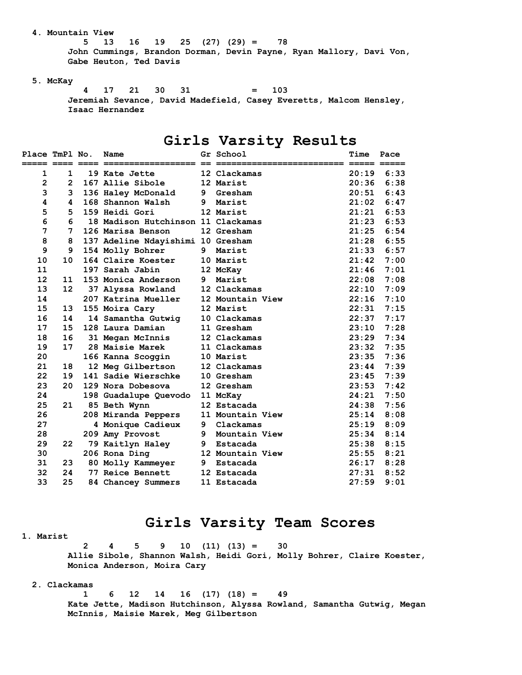### **4. Mountain View**

 **5 13 16 19 25 (27) (29) = 78 John Cummings, Brandon Dorman, Devin Payne, Ryan Mallory, Davi Von, Gabe Heuton, Ted Davis** 

### **5. McKay**

 **4 17 21 30 31 = 103 Jeremiah Sevance, David Madefield, Casey Everetts, Malcom Hensley, Isaac Hernandez** 

### **Girls Varsity Results**

| Place TmPl No. |                       | Name                               |    | Gr School        | Time  | Pace |
|----------------|-----------------------|------------------------------------|----|------------------|-------|------|
|                |                       |                                    |    |                  |       |      |
| $\mathbf{1}$   | 1.                    | 19 Kate Jette                      |    | 12 Clackamas     | 20:19 | 6:33 |
| $\overline{2}$ | $\mathbf{2}^{\prime}$ | 167 Allie Sibole                   |    | 12 Marist        | 20:36 | 6:38 |
| 3              | 3                     | 136 Haley McDonald                 | 9  | Gresham          | 20:51 | 6:43 |
| 4              | 4                     | 168 Shannon Walsh                  | 9  | Marist           | 21:02 | 6:47 |
| 5              | 5                     | 159 Heidi Gori                     |    | 12 Marist        | 21:21 | 6:53 |
| 6              | 6                     | 18 Madison Hutchinson 11 Clackamas |    |                  | 21:23 | 6:53 |
| 7              | 7                     | 126 Marisa Benson                  |    | 12 Gresham       | 21:25 | 6:54 |
| 8              | 8                     | 137 Adeline Ndayishimi 10 Gresham  |    |                  | 21:28 | 6:55 |
| 9              | 9                     | 154 Molly Bohrer                   | 9. | Marist           | 21:33 | 6:57 |
| 10             | 10                    | 164 Claire Koester                 |    | 10 Marist        | 21:42 | 7:00 |
| 11             |                       | 197 Sarah Jabin                    |    | 12 McKay         | 21:46 | 7:01 |
| 12             | 11                    | 153 Monica Anderson                | 9  | Marist           | 22:08 | 7:08 |
| 13             | $12 \overline{ }$     | 37 Alyssa Rowland                  |    | 12 Clackamas     | 22:10 | 7:09 |
| 14             |                       | 207 Katrina Mueller                |    | 12 Mountain View | 22:16 | 7:10 |
| 15             | 13                    | 155 Moira Cary                     |    | 12 Marist        | 22:31 | 7:15 |
| 16             | 14                    | 14 Samantha Gutwig                 |    | 10 Clackamas     | 22:37 | 7:17 |
| 17             | 15                    | 128 Laura Damian                   |    | 11 Gresham       | 23:10 | 7:28 |
| 18             | 16                    | 31 Megan McInnis                   |    | 12 Clackamas     | 23:29 | 7:34 |
| 19             | 17                    | 28 Maisie Marek                    |    | 11 Clackamas     | 23:32 | 7:35 |
| 20             |                       | 166 Kanna Scoggin                  |    | 10 Marist        | 23:35 | 7:36 |
| 21             | 18                    | 12 Meg Gilbertson                  |    | 12 Clackamas     | 23:44 | 7:39 |
| 22             | 19                    | 141 Sadie Wierschke                |    | 10 Gresham       | 23:45 | 7:39 |
| 23             | 20                    | 129 Nora Dobesova                  |    | 12 Gresham       | 23:53 | 7:42 |
| 24             |                       | 198 Guadalupe Quevodo              |    | 11 McKay         | 24:21 | 7:50 |
| 25             | 21                    | 85 Beth Wynn                       |    | 12 Estacada      | 24:38 | 7:56 |
| 26             |                       | 208 Miranda Peppers                |    | 11 Mountain View | 25:14 | 8:08 |
| 27             |                       | 4 Monique Cadieux                  |    | 9 Clackamas      | 25:19 | 8:09 |
| 28             |                       | 209 Amy Provost                    | 9  | Mountain View    | 25:34 | 8:14 |
| 29             | 22                    | 79 Kaitlyn Haley                   | 9. | Estacada         | 25:38 | 8:15 |
| 30             |                       | 206 Rona Ding                      |    | 12 Mountain View | 25:55 | 8:21 |
| 31             | 23                    | 80 Molly Kammeyer                  | 9  | Estacada         | 26:17 | 8:28 |
| 32             | 24                    | 77 Reice Bennett                   |    | 12 Estacada      | 27:31 | 8:52 |
| 33             | 25                    | 84 Chancey Summers                 |    | 11 Estacada      | 27:59 | 9:01 |

### **Girls Varsity Team Scores**

#### **1. Marist**

 **2 4 5 9 10 (11) (13) = 30 Allie Sibole, Shannon Walsh, Heidi Gori, Molly Bohrer, Claire Koester, Monica Anderson, Moira Cary** 

### **2. Clackamas**

 **1 6 12 14 16 (17) (18) = 49 Kate Jette, Madison Hutchinson, Alyssa Rowland, Samantha Gutwig, Megan McInnis, Maisie Marek, Meg Gilbertson**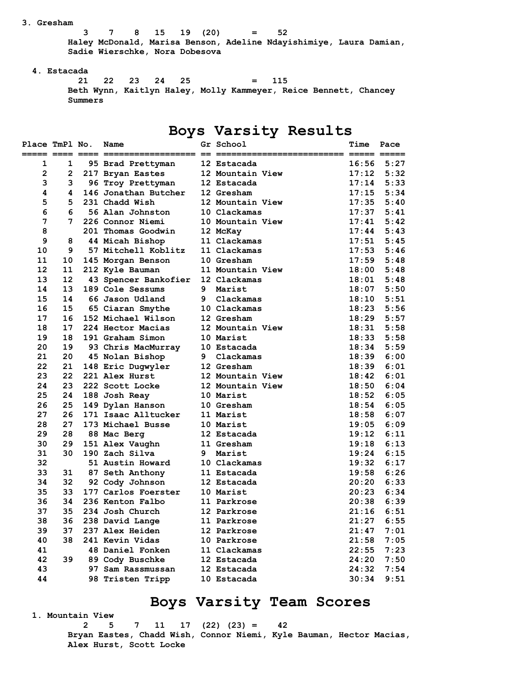#### **3. Gresham**

 **3 7 8 15 19 (20) = 52 Haley McDonald, Marisa Benson, Adeline Ndayishimiye, Laura Damian, Sadie Wierschke, Nora Dobesova** 

### **4. Estacada**

 **21 22 23 24 25 = 115 Beth Wynn, Kaitlyn Haley, Molly Kammeyer, Reice Bennett, Chancey Summers** 

## **Boys Varsity Results**

| Place TmPl No.<br>===== ==== ==== =: |                | Name                 |   | Gr School<br>== == ==== | Time  | Pace |
|--------------------------------------|----------------|----------------------|---|-------------------------|-------|------|
| 1                                    | $\mathbf{1}$   | 95 Brad Prettyman    |   | 12 Estacada             | 16:56 | 5:27 |
| $\mathbf{2}$                         | $\overline{2}$ | 217 Bryan Eastes     |   | 12 Mountain View        | 17:12 | 5:32 |
| 3                                    | 3              | 96 Troy Prettyman    |   | 12 Estacada             | 17:14 | 5:33 |
| 4                                    | 4              | 146 Jonathan Butcher |   | 12 Gresham              | 17:15 | 5:34 |
| 5                                    | 5.             | 231 Chadd Wish       |   | 12 Mountain View        | 17:35 | 5:40 |
| 6                                    | 6              | 56 Alan Johnston     |   | 10 Clackamas            | 17:37 | 5:41 |
| 7                                    | 7              | 226 Connor Niemi     |   | 10 Mountain View        | 17:41 | 5:42 |
| 8                                    |                | 201 Thomas Goodwin   |   | 12 McKay                | 17:44 | 5:43 |
| 9                                    | 8              | 44 Micah Bishop      |   | 11 Clackamas            | 17:51 | 5:45 |
| 10                                   | 9              | 57 Mitchell Koblitz  |   | 11 Clackamas            | 17:53 | 5:46 |
| 11                                   | 10             | 145 Morgan Benson    |   | 10 Gresham              | 17:59 | 5:48 |
| 12                                   | 11             | 212 Kyle Bauman      |   | 11 Mountain View        | 18:00 | 5:48 |
| 13                                   | 12             | 43 Spencer Bankofier |   | 12 Clackamas            | 18:01 | 5:48 |
| 14                                   | 13             | 189 Cole Sessums     | 9 | Marist                  | 18:07 | 5:50 |
| 15                                   | 14             | 66 Jason Udland      | 9 | Clackamas               | 18:10 | 5:51 |
| 16                                   | 15             | 65 Ciaran Smythe     |   | 10 Clackamas            | 18:23 | 5:56 |
| 17                                   | 16             | 152 Michael Wilson   |   | 12 Gresham              | 18:29 | 5:57 |
| 18                                   | 17             | 224 Hector Macias    |   | 12 Mountain View        | 18:31 | 5:58 |
| 19                                   | 18             | 191 Graham Simon     |   | 10 Marist               | 18:33 | 5:58 |
| 20                                   | 19             | 93 Chris MacMurray   |   | 10 Estacada             | 18:34 | 5:59 |
| 21                                   | 20             | 45 Nolan Bishop      | 9 | Clackamas               | 18:39 | 6:00 |
| 22                                   | 21             | 148 Eric Dugwyler    |   | 12 Gresham              | 18:39 | 6:01 |
| 23                                   | 22             | 221 Alex Hurst       |   | 12 Mountain View        | 18:42 | 6:01 |
| 24                                   | 23             | 222 Scott Locke      |   | 12 Mountain View        | 18:50 | 6:04 |
| 25                                   | 24             | 188 Josh Reay        |   | 10 Marist               | 18:52 | 6:05 |
| 26                                   | 25             | 149 Dylan Hanson     |   | 10 Gresham              | 18:54 | 6:05 |
| 27                                   | 26             | 171 Isaac Alltucker  |   | 11 Marist               | 18:58 | 6:07 |
| 28                                   | 27             | 173 Michael Busse    |   | 10 Marist               | 19:05 | 6:09 |
| 29                                   | 28             | 88 Mac Berg          |   | 12 Estacada             | 19:12 | 6:11 |
| 30                                   | 29             | 151 Alex Vaughn      |   | 11 Gresham              | 19:18 | 6:13 |
| 31                                   | 30             | 190 Zach Silva       |   | 9 Marist                | 19:24 | 6:15 |
| 32                                   |                | 51 Austin Howard     |   | 10 Clackamas            | 19:32 | 6:17 |
| 33                                   | 31             | 87 Seth Anthony      |   | 11 Estacada             | 19:58 | 6:26 |
| 34                                   | 32             | 92 Cody Johnson      |   | 12 Estacada             | 20:20 | 6:33 |
| 35                                   | 33             | 177 Carlos Foerster  |   | 10 Marist               | 20:23 | 6:34 |
| 36                                   | 34             | 236 Kenton Falbo     |   | 11 Parkrose             | 20:38 | 6:39 |
| 37                                   | 35             | 234 Josh Church      |   | 12 Parkrose             | 21:16 | 6:51 |
| 38                                   | 36             | 238 David Lange      |   | 11 Parkrose             | 21:27 | 6:55 |
| 39                                   | 37             | 237 Alex Heiden      |   | 12 Parkrose             | 21:47 | 7:01 |
| 40                                   | 38             | 241 Kevin Vidas      |   | 10 Parkrose             | 21:58 | 7:05 |
| 41                                   |                | 48 Daniel Fonken     |   | 11 Clackamas            | 22:55 | 7:23 |
| 42                                   | 39             | 89 Cody Buschke      |   | 12 Estacada             | 24:20 | 7:50 |
| 43                                   |                | 97 Sam Rassmussan    |   | 12 Estacada             | 24:32 | 7:54 |
| 44                                   |                | 98 Tristen Tripp     |   | 10 Estacada             | 30:34 | 9:51 |
|                                      |                |                      |   |                         |       |      |

# **Boys Varsity Team Scores**

 **1. Mountain View** 

 **2 5 7 11 17 (22) (23) = 42 Bryan Eastes, Chadd Wish, Connor Niemi, Kyle Bauman, Hector Macias, Alex Hurst, Scott Locke**